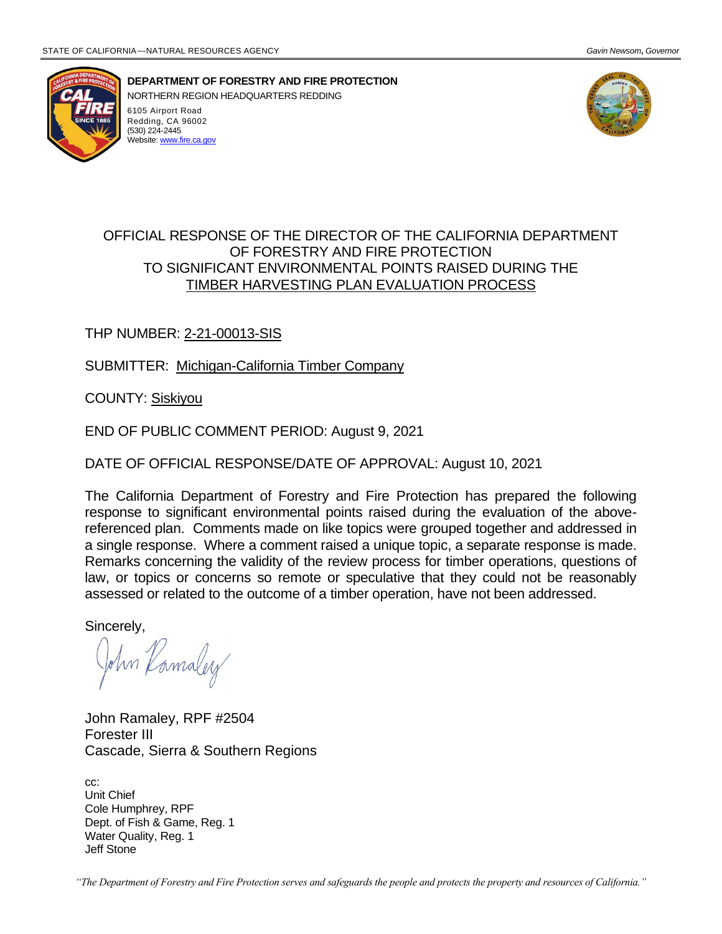

**DEPARTMENT OF FORESTRY AND FIRE PROTECTION** NORTHERN REGION HEADQUARTERS REDDING 6105 Airport Road Redding, CA 96002 (530) 224-2445 .<br>Website[: www.fire.ca.gov](http://www.fire.ca.gov/)



### OFFICIAL RESPONSE OF THE DIRECTOR OF THE CALIFORNIA DEPARTMENT OF FORESTRY AND FIRE PROTECTION TO SIGNIFICANT ENVIRONMENTAL POINTS RAISED DURING THE TIMBER HARVESTING PLAN EVALUATION PROCESS

### THP NUMBER: 2-21-00013-SIS

SUBMITTER: Michigan-California Timber Company

COUNTY: Siskiyou

END OF PUBLIC COMMENT PERIOD: August 9, 2021

DATE OF OFFICIAL RESPONSE/DATE OF APPROVAL: August 10, 2021

The California Department of Forestry and Fire Protection has prepared the following response to significant environmental points raised during the evaluation of the abovereferenced plan. Comments made on like topics were grouped together and addressed in a single response. Where a comment raised a unique topic, a separate response is made. Remarks concerning the validity of the review process for timber operations, questions of law, or topics or concerns so remote or speculative that they could not be reasonably assessed or related to the outcome of a timber operation, have not been addressed.

Sincerely,

John Kamaley

John Ramaley, RPF #2504 Forester III Cascade, Sierra & Southern Regions

cc: Unit Chief Cole Humphrey, RPF Dept. of Fish & Game, Reg. 1 Water Quality, Reg. 1 Jeff Stone

*"The Department of Forestry and Fire Protection serves and safeguards the people and protects the property and resources of California."*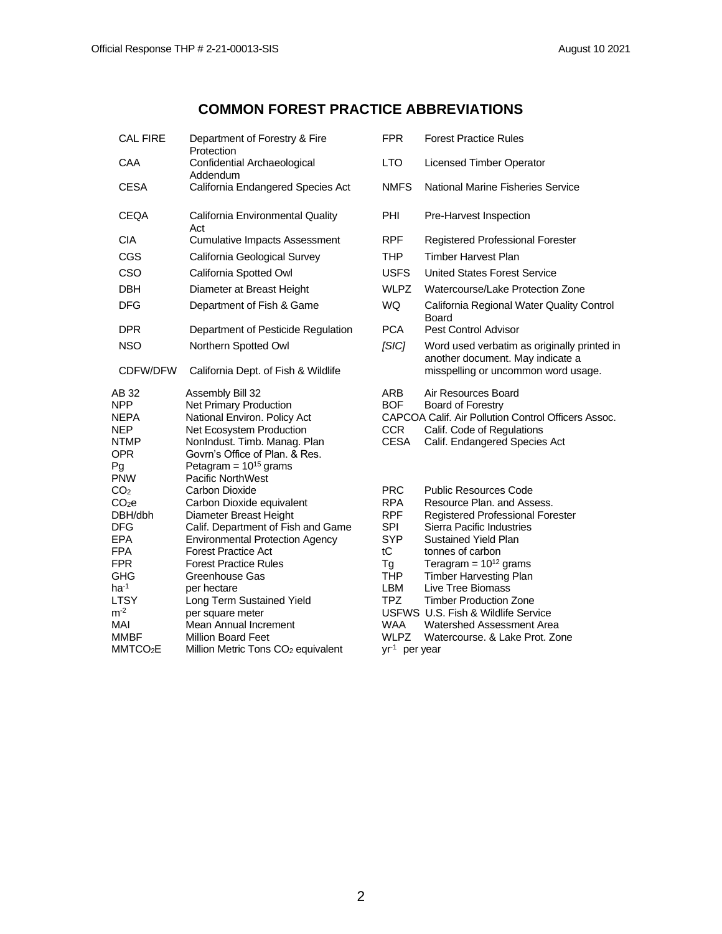### **COMMON FOREST PRACTICE ABBREVIATIONS**

| <b>CAL FIRE</b>                                                                                                                                                                                          | Department of Forestry & Fire<br>Protection                                                                                                                                                                                                                                                                                                                                                                   | <b>FPR</b>                                                                                                                                                                 | <b>Forest Practice Rules</b>                                                                                                                                                                                                                                                                                                                                                                      |
|----------------------------------------------------------------------------------------------------------------------------------------------------------------------------------------------------------|---------------------------------------------------------------------------------------------------------------------------------------------------------------------------------------------------------------------------------------------------------------------------------------------------------------------------------------------------------------------------------------------------------------|----------------------------------------------------------------------------------------------------------------------------------------------------------------------------|---------------------------------------------------------------------------------------------------------------------------------------------------------------------------------------------------------------------------------------------------------------------------------------------------------------------------------------------------------------------------------------------------|
| CAA                                                                                                                                                                                                      | Confidential Archaeological<br>Addendum                                                                                                                                                                                                                                                                                                                                                                       | <b>LTO</b>                                                                                                                                                                 | <b>Licensed Timber Operator</b>                                                                                                                                                                                                                                                                                                                                                                   |
| <b>CESA</b>                                                                                                                                                                                              | California Endangered Species Act                                                                                                                                                                                                                                                                                                                                                                             | <b>NMFS</b>                                                                                                                                                                | National Marine Fisheries Service                                                                                                                                                                                                                                                                                                                                                                 |
| <b>CEQA</b>                                                                                                                                                                                              | California Environmental Quality<br>Act                                                                                                                                                                                                                                                                                                                                                                       | <b>PHI</b>                                                                                                                                                                 | Pre-Harvest Inspection                                                                                                                                                                                                                                                                                                                                                                            |
| CIA.                                                                                                                                                                                                     | <b>Cumulative Impacts Assessment</b>                                                                                                                                                                                                                                                                                                                                                                          | <b>RPF</b>                                                                                                                                                                 | Registered Professional Forester                                                                                                                                                                                                                                                                                                                                                                  |
| CGS                                                                                                                                                                                                      | California Geological Survey                                                                                                                                                                                                                                                                                                                                                                                  | THP                                                                                                                                                                        | <b>Timber Harvest Plan</b>                                                                                                                                                                                                                                                                                                                                                                        |
| CSO                                                                                                                                                                                                      | California Spotted Owl                                                                                                                                                                                                                                                                                                                                                                                        | <b>USFS</b>                                                                                                                                                                | <b>United States Forest Service</b>                                                                                                                                                                                                                                                                                                                                                               |
| <b>DBH</b>                                                                                                                                                                                               | Diameter at Breast Height                                                                                                                                                                                                                                                                                                                                                                                     | <b>WLPZ</b>                                                                                                                                                                | Watercourse/Lake Protection Zone                                                                                                                                                                                                                                                                                                                                                                  |
| <b>DFG</b>                                                                                                                                                                                               | Department of Fish & Game                                                                                                                                                                                                                                                                                                                                                                                     | <b>WQ</b>                                                                                                                                                                  | California Regional Water Quality Control<br>Board                                                                                                                                                                                                                                                                                                                                                |
| <b>DPR</b>                                                                                                                                                                                               | Department of Pesticide Regulation                                                                                                                                                                                                                                                                                                                                                                            | <b>PCA</b>                                                                                                                                                                 | <b>Pest Control Advisor</b>                                                                                                                                                                                                                                                                                                                                                                       |
| <b>NSO</b>                                                                                                                                                                                               | Northern Spotted Owl                                                                                                                                                                                                                                                                                                                                                                                          | SIC                                                                                                                                                                        | Word used verbatim as originally printed in<br>another document. May indicate a                                                                                                                                                                                                                                                                                                                   |
| CDFW/DFW                                                                                                                                                                                                 | California Dept. of Fish & Wildlife                                                                                                                                                                                                                                                                                                                                                                           |                                                                                                                                                                            | misspelling or uncommon word usage.                                                                                                                                                                                                                                                                                                                                                               |
| AB 32<br><b>NPP</b><br><b>NEPA</b><br><b>NEP</b><br><b>NTMP</b><br><b>OPR</b><br>Pg<br><b>PNW</b>                                                                                                        | Assembly Bill 32<br>Net Primary Production<br>National Environ. Policy Act<br>Net Ecosystem Production<br>NonIndust. Timb. Manag. Plan<br>Govrn's Office of Plan. & Res.<br>Petagram = $10^{15}$ grams<br><b>Pacific NorthWest</b>                                                                                                                                                                            | ARB<br><b>BOF</b><br><b>CCR</b><br><b>CESA</b>                                                                                                                             | Air Resources Board<br>Board of Forestry<br>CAPCOA Calif. Air Pollution Control Officers Assoc.<br>Calif. Code of Regulations<br>Calif. Endangered Species Act                                                                                                                                                                                                                                    |
| CO <sub>2</sub><br>CO <sub>2</sub> e<br>DBH/dbh<br><b>DFG</b><br><b>EPA</b><br><b>FPA</b><br><b>FPR</b><br><b>GHG</b><br>$ha^{-1}$<br><b>LTSY</b><br>$m-2$<br>MAI<br><b>MMBF</b><br>MMTCO <sub>2</sub> E | Carbon Dioxide<br>Carbon Dioxide equivalent<br>Diameter Breast Height<br>Calif. Department of Fish and Game<br><b>Environmental Protection Agency</b><br><b>Forest Practice Act</b><br><b>Forest Practice Rules</b><br>Greenhouse Gas<br>per hectare<br>Long Term Sustained Yield<br>per square meter<br>Mean Annual Increment<br><b>Million Board Feet</b><br>Million Metric Tons CO <sub>2</sub> equivalent | <b>PRC</b><br><b>RPA</b><br><b>RPF</b><br><b>SPI</b><br><b>SYP</b><br>tC<br>Τg<br><b>THP</b><br>LBM<br><b>TPZ</b><br><b>WAA</b><br><b>WLPZ</b><br>yr <sup>1</sup> per year | <b>Public Resources Code</b><br>Resource Plan. and Assess.<br>Registered Professional Forester<br>Sierra Pacific Industries<br>Sustained Yield Plan<br>tonnes of carbon<br>Teragram = $10^{12}$ grams<br><b>Timber Harvesting Plan</b><br>Live Tree Biomass<br><b>Timber Production Zone</b><br>USFWS U.S. Fish & Wildlife Service<br>Watershed Assessment Area<br>Watercourse. & Lake Prot. Zone |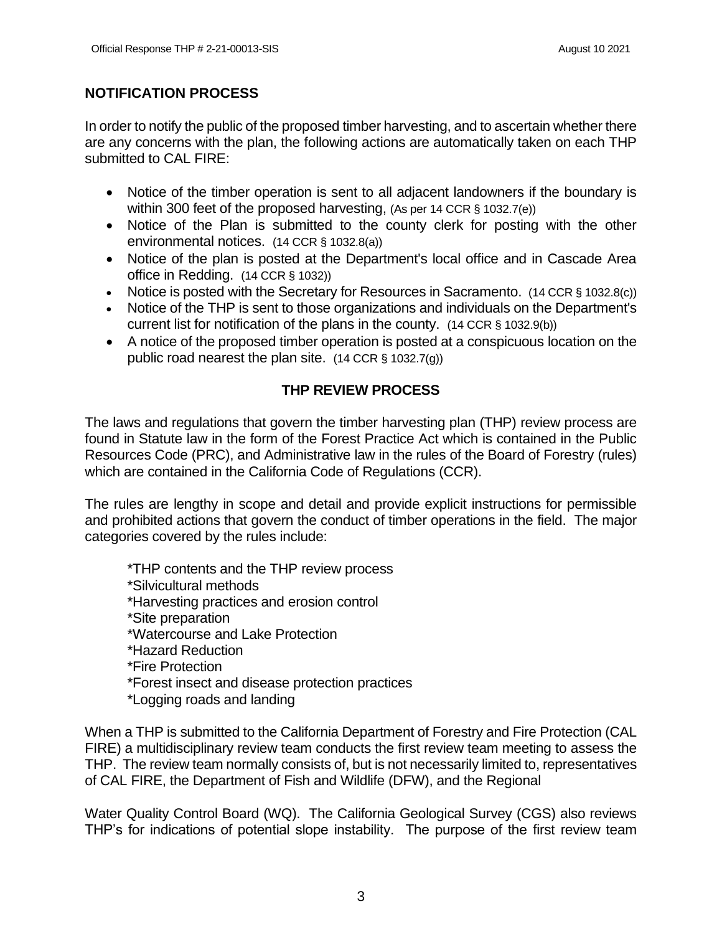### **NOTIFICATION PROCESS**

In order to notify the public of the proposed timber harvesting, and to ascertain whether there are any concerns with the plan, the following actions are automatically taken on each THP submitted to CAL FIRE:

- Notice of the timber operation is sent to all adjacent landowners if the boundary is within 300 feet of the proposed harvesting, (As per 14 CCR § 1032.7(e))
- Notice of the Plan is submitted to the county clerk for posting with the other environmental notices. (14 CCR § 1032.8(a))
- Notice of the plan is posted at the Department's local office and in Cascade Area office in Redding. (14 CCR § 1032))
- Notice is posted with the Secretary for Resources in Sacramento. (14 CCR § 1032.8(c))
- Notice of the THP is sent to those organizations and individuals on the Department's current list for notification of the plans in the county. (14 CCR § 1032.9(b))
- A notice of the proposed timber operation is posted at a conspicuous location on the public road nearest the plan site. (14 CCR § 1032.7(g))

### **THP REVIEW PROCESS**

The laws and regulations that govern the timber harvesting plan (THP) review process are found in Statute law in the form of the Forest Practice Act which is contained in the Public Resources Code (PRC), and Administrative law in the rules of the Board of Forestry (rules) which are contained in the California Code of Regulations (CCR).

The rules are lengthy in scope and detail and provide explicit instructions for permissible and prohibited actions that govern the conduct of timber operations in the field. The major categories covered by the rules include:

\*THP contents and the THP review process \*Silvicultural methods \*Harvesting practices and erosion control \*Site preparation \*Watercourse and Lake Protection \*Hazard Reduction \*Fire Protection \*Forest insect and disease protection practices \*Logging roads and landing

When a THP is submitted to the California Department of Forestry and Fire Protection (CAL FIRE) a multidisciplinary review team conducts the first review team meeting to assess the THP. The review team normally consists of, but is not necessarily limited to, representatives of CAL FIRE, the Department of Fish and Wildlife (DFW), and the Regional

Water Quality Control Board (WQ). The California Geological Survey (CGS) also reviews THP's for indications of potential slope instability. The purpose of the first review team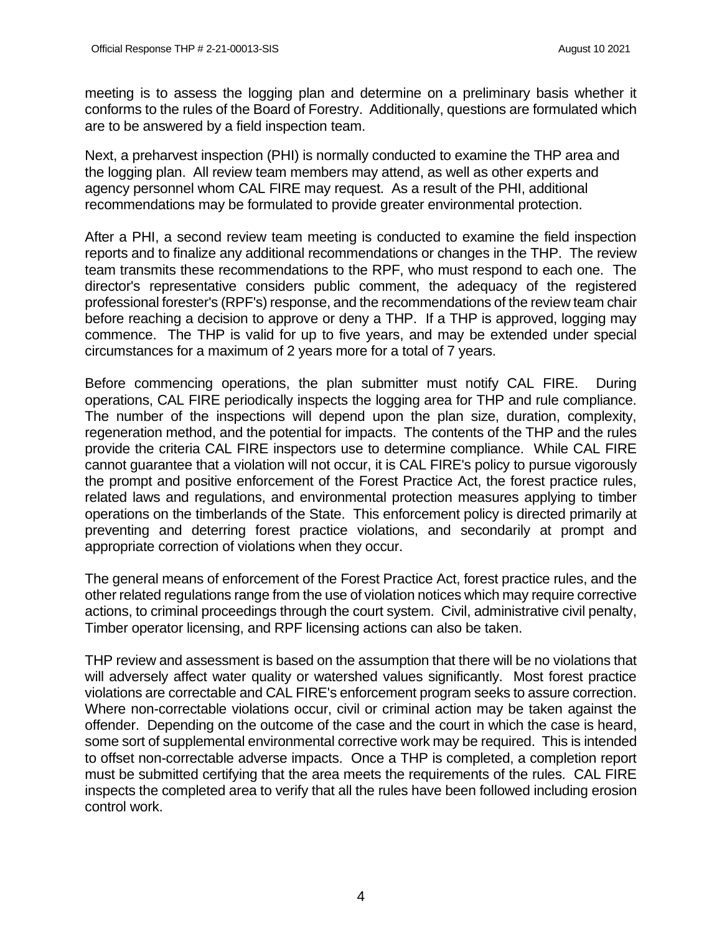meeting is to assess the logging plan and determine on a preliminary basis whether it conforms to the rules of the Board of Forestry. Additionally, questions are formulated which are to be answered by a field inspection team.

Next, a preharvest inspection (PHI) is normally conducted to examine the THP area and the logging plan. All review team members may attend, as well as other experts and agency personnel whom CAL FIRE may request. As a result of the PHI, additional recommendations may be formulated to provide greater environmental protection.

After a PHI, a second review team meeting is conducted to examine the field inspection reports and to finalize any additional recommendations or changes in the THP. The review team transmits these recommendations to the RPF, who must respond to each one. The director's representative considers public comment, the adequacy of the registered professional forester's (RPF's) response, and the recommendations of the review team chair before reaching a decision to approve or deny a THP. If a THP is approved, logging may commence. The THP is valid for up to five years, and may be extended under special circumstances for a maximum of 2 years more for a total of 7 years.

Before commencing operations, the plan submitter must notify CAL FIRE. During operations, CAL FIRE periodically inspects the logging area for THP and rule compliance. The number of the inspections will depend upon the plan size, duration, complexity, regeneration method, and the potential for impacts. The contents of the THP and the rules provide the criteria CAL FIRE inspectors use to determine compliance. While CAL FIRE cannot guarantee that a violation will not occur, it is CAL FIRE's policy to pursue vigorously the prompt and positive enforcement of the Forest Practice Act, the forest practice rules, related laws and regulations, and environmental protection measures applying to timber operations on the timberlands of the State. This enforcement policy is directed primarily at preventing and deterring forest practice violations, and secondarily at prompt and appropriate correction of violations when they occur.

The general means of enforcement of the Forest Practice Act, forest practice rules, and the other related regulations range from the use of violation notices which may require corrective actions, to criminal proceedings through the court system. Civil, administrative civil penalty, Timber operator licensing, and RPF licensing actions can also be taken.

THP review and assessment is based on the assumption that there will be no violations that will adversely affect water quality or watershed values significantly. Most forest practice violations are correctable and CAL FIRE's enforcement program seeks to assure correction. Where non-correctable violations occur, civil or criminal action may be taken against the offender. Depending on the outcome of the case and the court in which the case is heard, some sort of supplemental environmental corrective work may be required. This is intended to offset non-correctable adverse impacts. Once a THP is completed, a completion report must be submitted certifying that the area meets the requirements of the rules. CAL FIRE inspects the completed area to verify that all the rules have been followed including erosion control work.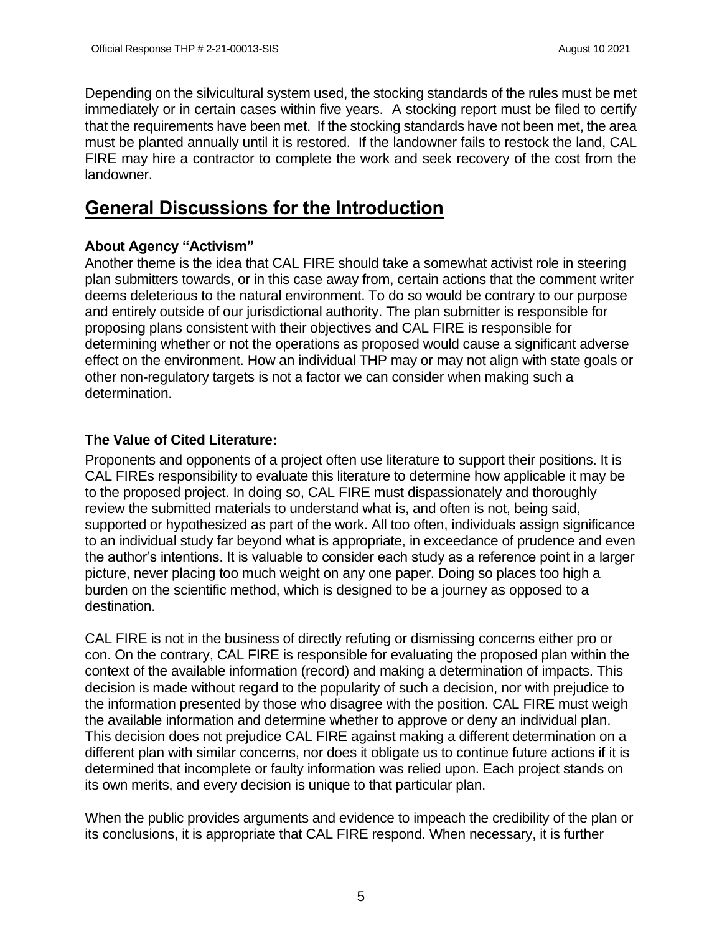Depending on the silvicultural system used, the stocking standards of the rules must be met immediately or in certain cases within five years. A stocking report must be filed to certify that the requirements have been met. If the stocking standards have not been met, the area must be planted annually until it is restored. If the landowner fails to restock the land, CAL FIRE may hire a contractor to complete the work and seek recovery of the cost from the landowner.

# **General Discussions for the Introduction**

## **About Agency "Activism"**

Another theme is the idea that CAL FIRE should take a somewhat activist role in steering plan submitters towards, or in this case away from, certain actions that the comment writer deems deleterious to the natural environment. To do so would be contrary to our purpose and entirely outside of our jurisdictional authority. The plan submitter is responsible for proposing plans consistent with their objectives and CAL FIRE is responsible for determining whether or not the operations as proposed would cause a significant adverse effect on the environment. How an individual THP may or may not align with state goals or other non-regulatory targets is not a factor we can consider when making such a determination.

## **The Value of Cited Literature:**

Proponents and opponents of a project often use literature to support their positions. It is CAL FIREs responsibility to evaluate this literature to determine how applicable it may be to the proposed project. In doing so, CAL FIRE must dispassionately and thoroughly review the submitted materials to understand what is, and often is not, being said, supported or hypothesized as part of the work. All too often, individuals assign significance to an individual study far beyond what is appropriate, in exceedance of prudence and even the author's intentions. It is valuable to consider each study as a reference point in a larger picture, never placing too much weight on any one paper. Doing so places too high a burden on the scientific method, which is designed to be a journey as opposed to a destination.

CAL FIRE is not in the business of directly refuting or dismissing concerns either pro or con. On the contrary, CAL FIRE is responsible for evaluating the proposed plan within the context of the available information (record) and making a determination of impacts. This decision is made without regard to the popularity of such a decision, nor with prejudice to the information presented by those who disagree with the position. CAL FIRE must weigh the available information and determine whether to approve or deny an individual plan. This decision does not prejudice CAL FIRE against making a different determination on a different plan with similar concerns, nor does it obligate us to continue future actions if it is determined that incomplete or faulty information was relied upon. Each project stands on its own merits, and every decision is unique to that particular plan.

When the public provides arguments and evidence to impeach the credibility of the plan or its conclusions, it is appropriate that CAL FIRE respond. When necessary, it is further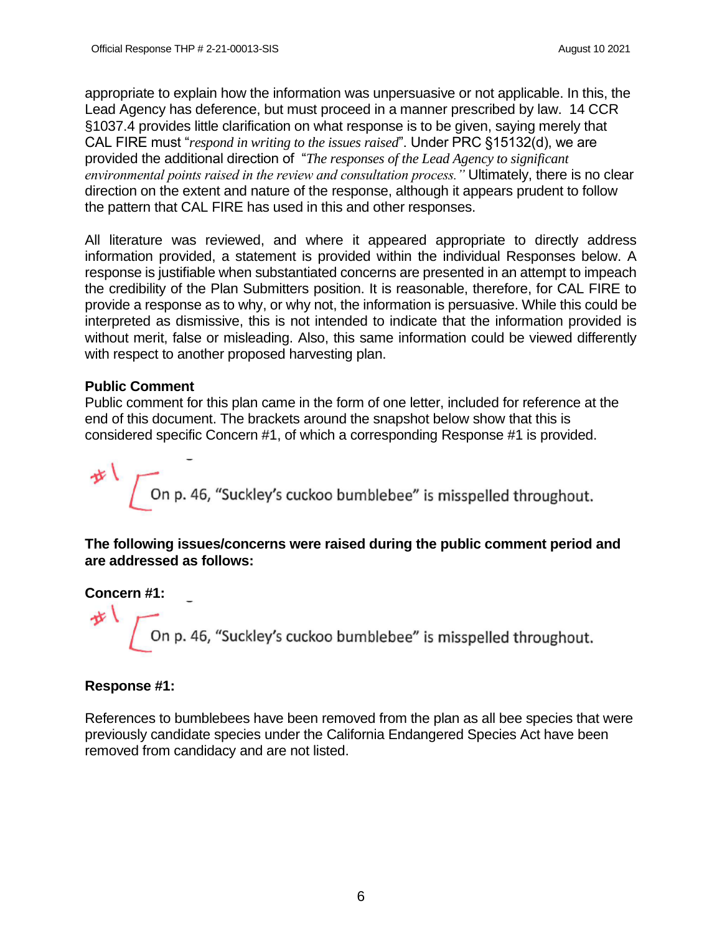appropriate to explain how the information was unpersuasive or not applicable. In this, the Lead Agency has deference, but must proceed in a manner prescribed by law. 14 CCR §1037.4 provides little clarification on what response is to be given, saying merely that CAL FIRE must "*respond in writing to the issues raised*". Under PRC §15132(d), we are provided the additional direction of "*The responses of the Lead Agency to significant environmental points raised in the review and consultation process."* Ultimately, there is no clear direction on the extent and nature of the response, although it appears prudent to follow the pattern that CAL FIRE has used in this and other responses.

All literature was reviewed, and where it appeared appropriate to directly address information provided, a statement is provided within the individual Responses below. A response is justifiable when substantiated concerns are presented in an attempt to impeach the credibility of the Plan Submitters position. It is reasonable, therefore, for CAL FIRE to provide a response as to why, or why not, the information is persuasive. While this could be interpreted as dismissive, this is not intended to indicate that the information provided is without merit, false or misleading. Also, this same information could be viewed differently with respect to another proposed harvesting plan.

#### **Public Comment**

Public comment for this plan came in the form of one letter, included for reference at the end of this document. The brackets around the snapshot below show that this is considered specific Concern #1, of which a corresponding Response #1 is provided.

On p. 46, "Suckley's cuckoo bumblebee" is misspelled throughout.

**The following issues/concerns were raised during the public comment period and are addressed as follows:**

**Concern #1:** 

せし

On p. 46, "Suckley's cuckoo bumblebee" is misspelled throughout.

### **Response #1:**

References to bumblebees have been removed from the plan as all bee species that were previously candidate species under the California Endangered Species Act have been removed from candidacy and are not listed.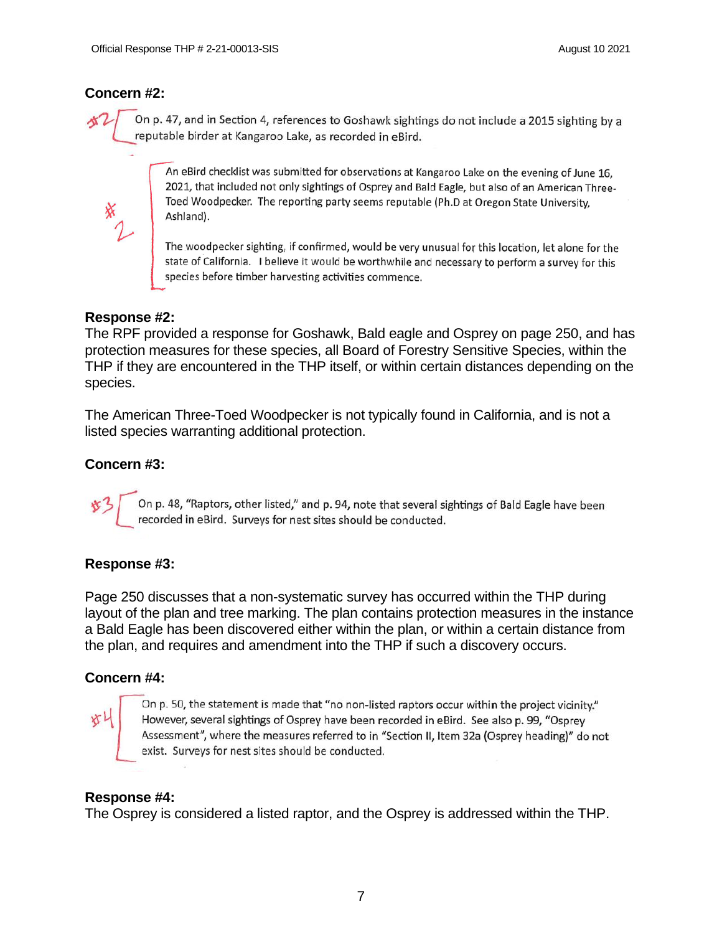#### **Concern #2:**

On p. 47, and in Section 4, references to Goshawk sightings do not include a 2015 sighting by a reputable birder at Kangaroo Lake, as recorded in eBird.

An eBird checklist was submitted for observations at Kangaroo Lake on the evening of June 16, 2021, that included not only sightings of Osprey and Bald Eagle, but also of an American Three-Toed Woodpecker. The reporting party seems reputable (Ph.D at Oregon State University, Ashland).

The woodpecker sighting, if confirmed, would be very unusual for this location, let alone for the state of California. I believe it would be worthwhile and necessary to perform a survey for this species before timber harvesting activities commence.

#### **Response #2:**

The RPF provided a response for Goshawk, Bald eagle and Osprey on page 250, and has protection measures for these species, all Board of Forestry Sensitive Species, within the THP if they are encountered in the THP itself, or within certain distances depending on the species.

The American Three-Toed Woodpecker is not typically found in California, and is not a listed species warranting additional protection.

#### **Concern #3:**

On p. 48, "Raptors, other listed," and p. 94, note that several sightings of Bald Eagle have been recorded in eBird. Surveys for nest sites should be conducted.

#### **Response #3:**

Page 250 discusses that a non-systematic survey has occurred within the THP during layout of the plan and tree marking. The plan contains protection measures in the instance a Bald Eagle has been discovered either within the plan, or within a certain distance from the plan, and requires and amendment into the THP if such a discovery occurs.

#### **Concern #4:**

灯

On p. 50, the statement is made that "no non-listed raptors occur within the project vicinity." However, several sightings of Osprey have been recorded in eBird. See also p. 99, "Osprey Assessment", where the measures referred to in "Section II, Item 32a (Osprey heading)" do not exist. Surveys for nest sites should be conducted.

#### **Response #4:**

The Osprey is considered a listed raptor, and the Osprey is addressed within the THP.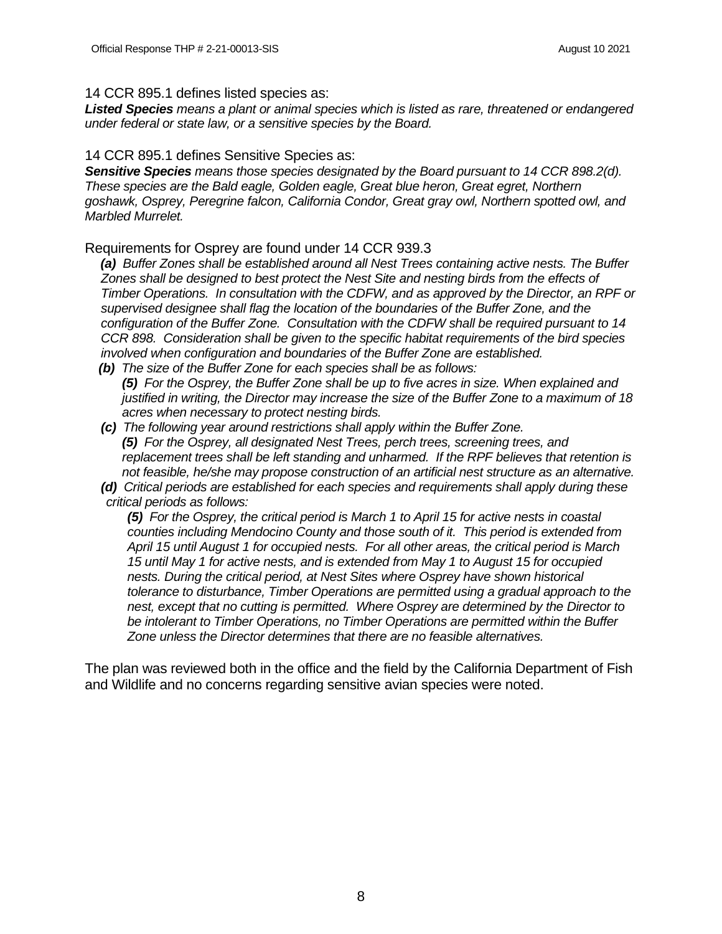#### 14 CCR 895.1 defines listed species as:

*Listed Species means a plant or animal species which is listed as rare, threatened or endangered under federal or state law, or a sensitive species by the Board.*

14 CCR 895.1 defines Sensitive Species as:

 *Sensitive Species means those species designated by the Board pursuant to 14 CCR 898.2(d). These species are the Bald eagle, Golden eagle, Great blue heron, Great egret, Northern goshawk, Osprey, Peregrine falcon, California Condor, Great gray owl, Northern spotted owl, and Marbled Murrelet.*

Requirements for Osprey are found under 14 CCR 939.3

 *(a) Buffer Zones shall be established around all Nest Trees containing active nests. The Buffer Zones shall be designed to best protect the Nest Site and nesting birds from the effects of Timber Operations. In consultation with the CDFW, and as approved by the Director, an RPF or supervised designee shall flag the location of the boundaries of the Buffer Zone, and the configuration of the Buffer Zone. Consultation with the CDFW shall be required pursuant to 14 CCR 898. Consideration shall be given to the specific habitat requirements of the bird species involved when configuration and boundaries of the Buffer Zone are established.*

 *(b) The size of the Buffer Zone for each species shall be as follows: (5) For the Osprey, the Buffer Zone shall be up to five acres in size. When explained and justified in writing, the Director may increase the size of the Buffer Zone to a maximum of 18 acres when necessary to protect nesting birds.*

- *(c) The following year around restrictions shall apply within the Buffer Zone. (5) For the Osprey, all designated Nest Trees, perch trees, screening trees, and replacement trees shall be left standing and unharmed. If the RPF believes that retention is not feasible, he/she may propose construction of an artificial nest structure as an alternative.*
- *(d) Critical periods are established for each species and requirements shall apply during these critical periods as follows:*

*(5) For the Osprey, the critical period is March 1 to April 15 for active nests in coastal counties including Mendocino County and those south of it. This period is extended from April 15 until August 1 for occupied nests. For all other areas, the critical period is March 15 until May 1 for active nests, and is extended from May 1 to August 15 for occupied nests. During the critical period, at Nest Sites where Osprey have shown historical tolerance to disturbance, Timber Operations are permitted using a gradual approach to the nest, except that no cutting is permitted. Where Osprey are determined by the Director to be intolerant to Timber Operations, no Timber Operations are permitted within the Buffer Zone unless the Director determines that there are no feasible alternatives.*

The plan was reviewed both in the office and the field by the California Department of Fish and Wildlife and no concerns regarding sensitive avian species were noted.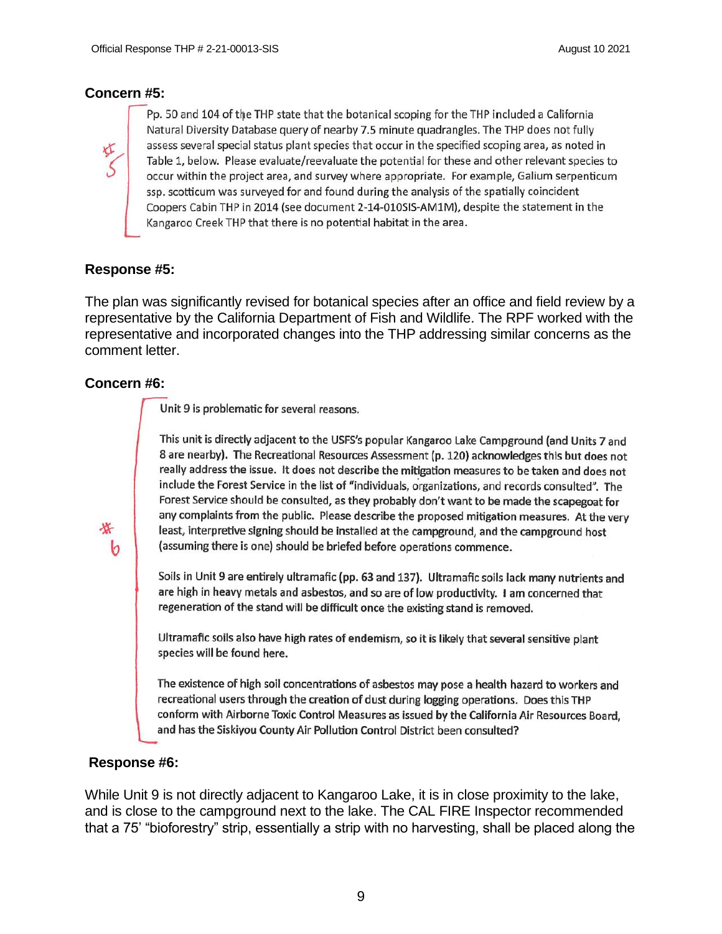#### **Concern #5:**



Pp. 50 and 104 of the THP state that the botanical scoping for the THP included a California Natural Diversity Database query of nearby 7.5 minute quadrangles. The THP does not fully assess several special status plant species that occur in the specified scoping area, as noted in Table 1, below. Please evaluate/reevaluate the potential for these and other relevant species to occur within the project area, and survey where appropriate. For example, Galium serpenticum ssp. scotticum was surveyed for and found during the analysis of the spatially coincident Coopers Cabin THP in 2014 (see document 2-14-010SIS-AM1M), despite the statement in the Kangaroo Creek THP that there is no potential habitat in the area.

#### **Response #5:**

The plan was significantly revised for botanical species after an office and field review by a representative by the California Department of Fish and Wildlife. The RPF worked with the representative and incorporated changes into the THP addressing similar concerns as the comment letter.

#### **Concern #6:**

b

Unit 9 is problematic for several reasons.

This unit is directly adjacent to the USFS's popular Kangaroo Lake Campground (and Units 7 and 8 are nearby). The Recreational Resources Assessment (p. 120) acknowledges this but does not really address the issue. It does not describe the mitigation measures to be taken and does not include the Forest Service in the list of "individuals, organizations, and records consulted". The Forest Service should be consulted, as they probably don't want to be made the scapegoat for any complaints from the public. Please describe the proposed mitigation measures. At the very least, interpretive signing should be installed at the campground, and the campground host (assuming there is one) should be briefed before operations commence.

Soils in Unit 9 are entirely ultramafic (pp. 63 and 137). Ultramafic soils lack many nutrients and are high in heavy metals and asbestos, and so are of low productivity. I am concerned that regeneration of the stand will be difficult once the existing stand is removed.

Ultramafic soils also have high rates of endemism, so it is likely that several sensitive plant species will be found here.

The existence of high soil concentrations of asbestos may pose a health hazard to workers and recreational users through the creation of dust during logging operations. Does this THP conform with Airborne Toxic Control Measures as issued by the California Air Resources Board, and has the Siskiyou County Air Pollution Control District been consulted?

#### **Response #6:**

While Unit 9 is not directly adjacent to Kangaroo Lake, it is in close proximity to the lake, and is close to the campground next to the lake. The CAL FIRE Inspector recommended that a 75' "bioforestry" strip, essentially a strip with no harvesting, shall be placed along the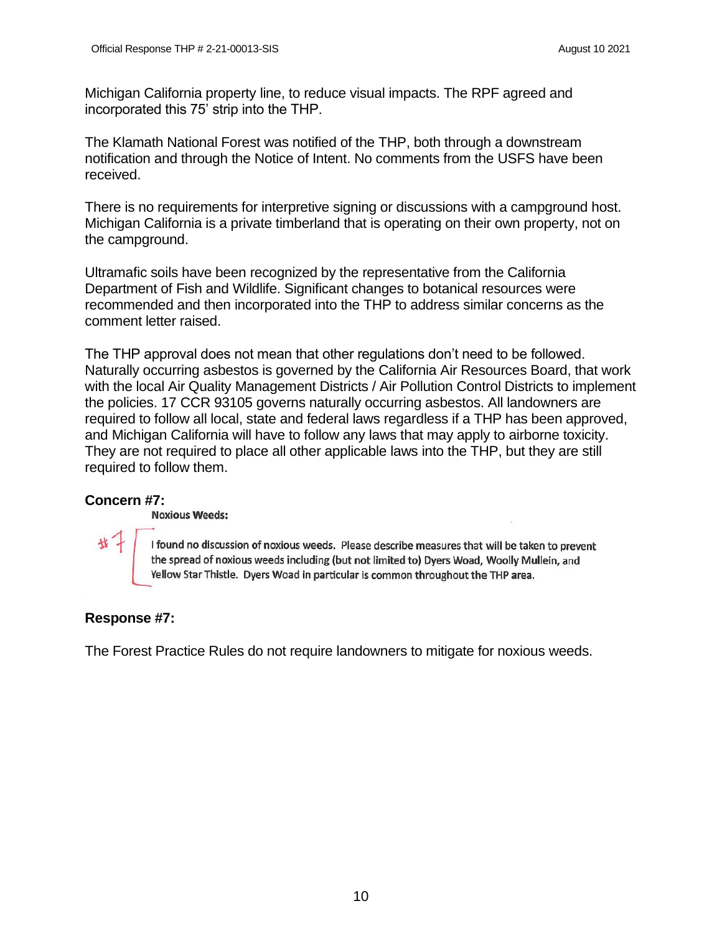Michigan California property line, to reduce visual impacts. The RPF agreed and incorporated this 75' strip into the THP.

The Klamath National Forest was notified of the THP, both through a downstream notification and through the Notice of Intent. No comments from the USFS have been received.

There is no requirements for interpretive signing or discussions with a campground host. Michigan California is a private timberland that is operating on their own property, not on the campground.

Ultramafic soils have been recognized by the representative from the California Department of Fish and Wildlife. Significant changes to botanical resources were recommended and then incorporated into the THP to address similar concerns as the comment letter raised.

The THP approval does not mean that other regulations don't need to be followed. Naturally occurring asbestos is governed by the California Air Resources Board, that work with the local Air Quality Management Districts / Air Pollution Control Districts to implement the policies. 17 CCR 93105 governs naturally occurring asbestos. All landowners are required to follow all local, state and federal laws regardless if a THP has been approved, and Michigan California will have to follow any laws that may apply to airborne toxicity. They are not required to place all other applicable laws into the THP, but they are still required to follow them.

### **Concern #7:**

其一

#### **Noxious Weeds:**

I found no discussion of noxious weeds. Please describe measures that will be taken to prevent the spread of noxious weeds including (but not limited to) Dyers Woad, Woolly Mullein, and Yellow Star Thistle. Dyers Woad in particular is common throughout the THP area.

### **Response #7:**

The Forest Practice Rules do not require landowners to mitigate for noxious weeds.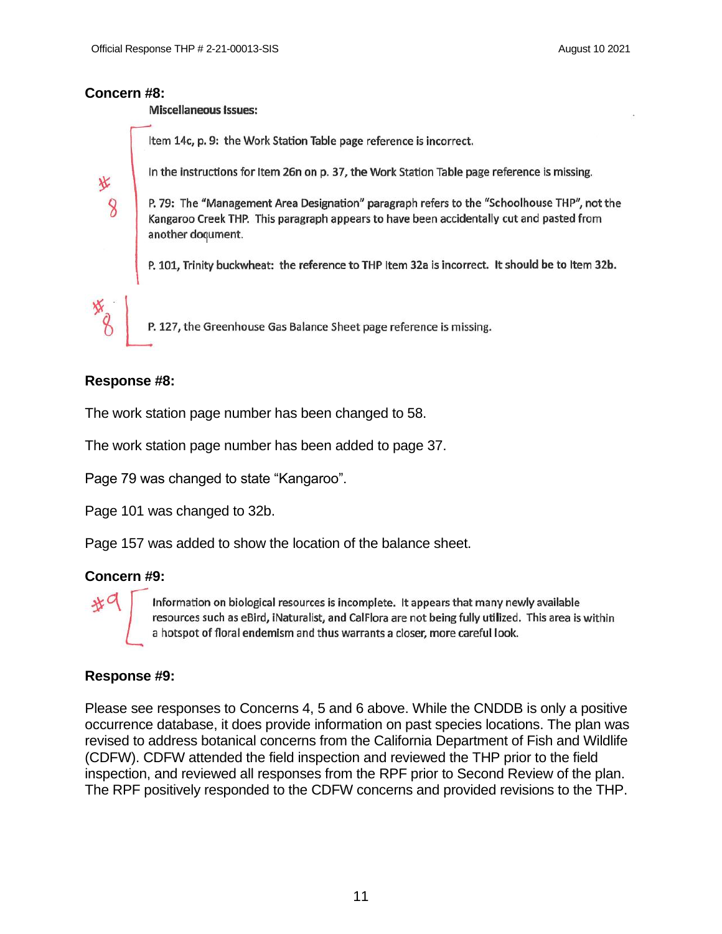#### **Concern #8:**

氷

8

**Miscellaneous Issues:** 

Item 14c, p. 9: the Work Station Table page reference is incorrect.

In the instructions for Item 26n on p. 37, the Work Station Table page reference is missing.

P. 79: The "Management Area Designation" paragraph refers to the "Schoolhouse THP", not the Kangaroo Creek THP. This paragraph appears to have been accidentally cut and pasted from another document.

P. 101, Trinity buckwheat: the reference to THP Item 32a is incorrect. It should be to Item 32b.

P. 127, the Greenhouse Gas Balance Sheet page reference is missing.

#### **Response #8:**

The work station page number has been changed to 58.

The work station page number has been added to page 37.

Page 79 was changed to state "Kangaroo".

Page 101 was changed to 32b.

Page 157 was added to show the location of the balance sheet.

### **Concern #9:**

 $*^c$ 

Information on biological resources is incomplete. It appears that many newly available resources such as eBird, iNaturalist, and CalFlora are not being fully utilized. This area is within a hotspot of floral endemism and thus warrants a closer, more careful look.

### **Response #9:**

Please see responses to Concerns 4, 5 and 6 above. While the CNDDB is only a positive occurrence database, it does provide information on past species locations. The plan was revised to address botanical concerns from the California Department of Fish and Wildlife (CDFW). CDFW attended the field inspection and reviewed the THP prior to the field inspection, and reviewed all responses from the RPF prior to Second Review of the plan. The RPF positively responded to the CDFW concerns and provided revisions to the THP.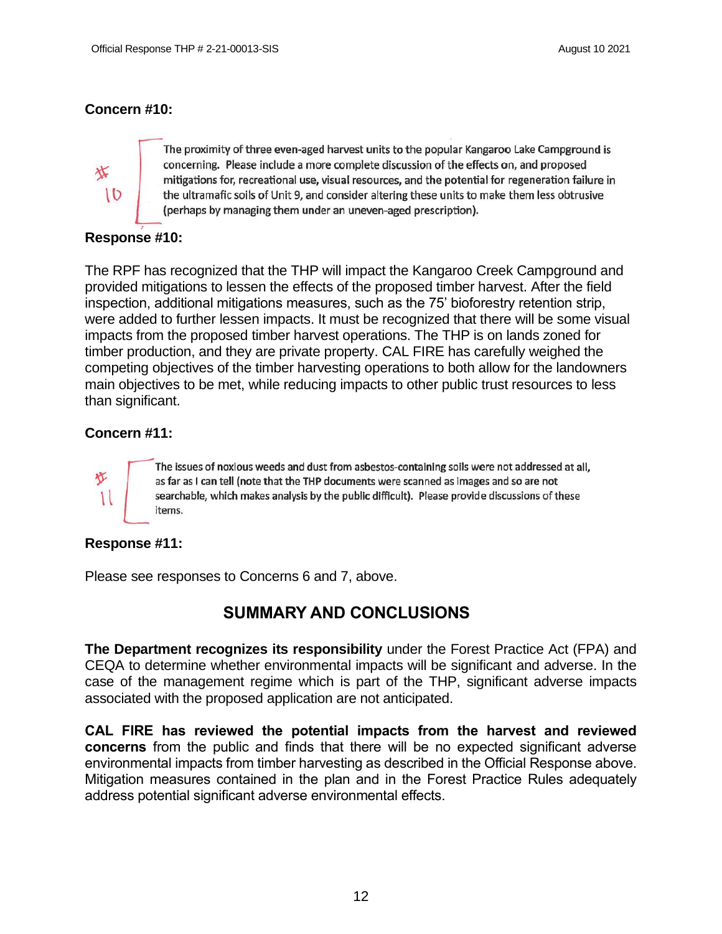### **Concern #10:**



The proximity of three even-aged harvest units to the popular Kangaroo Lake Campground is concerning. Please include a more complete discussion of the effects on, and proposed mitigations for, recreational use, visual resources, and the potential for regeneration failure in the ultramafic soils of Unit 9, and consider altering these units to make them less obtrusive (perhaps by managing them under an uneven-aged prescription).

### **Response #10:**

The RPF has recognized that the THP will impact the Kangaroo Creek Campground and provided mitigations to lessen the effects of the proposed timber harvest. After the field inspection, additional mitigations measures, such as the 75' bioforestry retention strip, were added to further lessen impacts. It must be recognized that there will be some visual impacts from the proposed timber harvest operations. The THP is on lands zoned for timber production, and they are private property. CAL FIRE has carefully weighed the competing objectives of the timber harvesting operations to both allow for the landowners main objectives to be met, while reducing impacts to other public trust resources to less than significant.

### **Concern #11:**



The issues of noxious weeds and dust from asbestos-containing soils were not addressed at all, as far as I can tell (note that the THP documents were scanned as images and so are not searchable, which makes analysis by the public difficult). Please provide discussions of these items.

### **Response #11:**

Please see responses to Concerns 6 and 7, above.

# **SUMMARY AND CONCLUSIONS**

**The Department recognizes its responsibility** under the Forest Practice Act (FPA) and CEQA to determine whether environmental impacts will be significant and adverse. In the case of the management regime which is part of the THP, significant adverse impacts associated with the proposed application are not anticipated.

**CAL FIRE has reviewed the potential impacts from the harvest and reviewed concerns** from the public and finds that there will be no expected significant adverse environmental impacts from timber harvesting as described in the Official Response above. Mitigation measures contained in the plan and in the Forest Practice Rules adequately address potential significant adverse environmental effects.